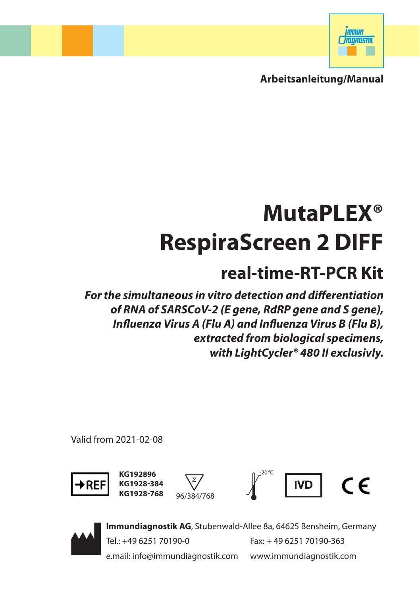

**Arbeitsanleitung/Manual**

# **MutaPLEX® RespiraScreen 2 DIFF**

# **real-time-RT-PCR Kit**

*For the simultaneous in vitro detection and differentiation of RNA of SARSCoV-2 (E gene, RdRP gene and S gene), Influenza Virus A (Flu A) and Influenza Virus B (Flu B), extracted from biological specimens, with LightCycler® 480 II exclusivly.* 

Valid from 2021-02-08



KG192896 **KG1928-384**







**Immundiagnostik AG**, Stubenwald-Allee 8a, 64625 Bensheim, Germany Tel.: +49 6251 70190-0 Fax: + 49 6251 70190-363 e.mail: info@immundiagnostik.com www.immundiagnostik.com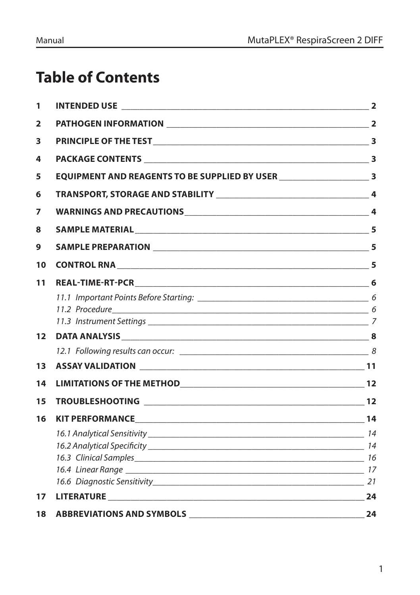# **Table of Contents**

| 1                       |                                                                                     |  |
|-------------------------|-------------------------------------------------------------------------------------|--|
| $\overline{\mathbf{2}}$ |                                                                                     |  |
| 3                       |                                                                                     |  |
| 4                       |                                                                                     |  |
| 5                       | EQUIPMENT AND REAGENTS TO BE SUPPLIED BY USER ___________________________________ 3 |  |
| 6                       |                                                                                     |  |
| 7                       |                                                                                     |  |
| 8                       |                                                                                     |  |
| 9                       |                                                                                     |  |
| 10                      |                                                                                     |  |
| 11                      |                                                                                     |  |
|                         |                                                                                     |  |
| 12                      |                                                                                     |  |
|                         |                                                                                     |  |
| 13                      |                                                                                     |  |
| 14                      | LIMITATIONS OF THE METHOD<br>12                                                     |  |
| 15                      |                                                                                     |  |
| 16                      |                                                                                     |  |
|                         |                                                                                     |  |
|                         |                                                                                     |  |
|                         |                                                                                     |  |
| 17                      |                                                                                     |  |
| 18                      |                                                                                     |  |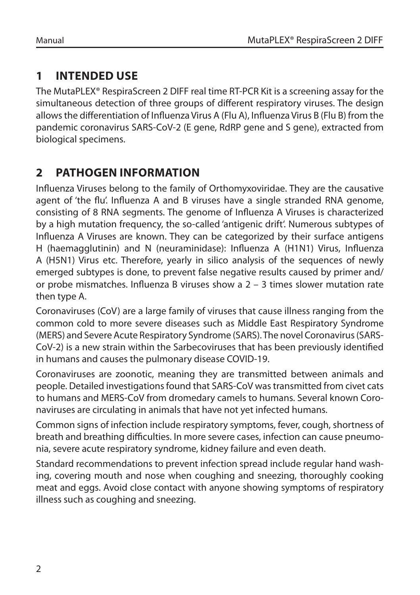# **1 INTENDED USE**

The MutaPLEX® RespiraScreen 2 DIFF real time RT-PCR Kit is a screening assay for the simultaneous detection of three groups of different respiratory viruses. The design allows the differentiation of Influenza Virus A (Flu A), Influenza Virus B (Flu B) from the pandemic coronavirus SARS-CoV-2 (E gene, RdRP gene and S gene), extracted from biological specimens.

# **2 PATHOGEN INFORMATION**

Influenza Viruses belong to the family of Orthomyxoviridae. They are the causative agent of 'the flu'. Influenza A and B viruses have a single stranded RNA genome, consisting of 8 RNA segments. The genome of Influenza A Viruses is characterized by a high mutation frequency, the so-called 'antigenic drift'. Numerous subtypes of Influenza A Viruses are known. They can be categorized by their surface antigens H (haemagglutinin) and N (neuraminidase): Influenza A (H1N1) Virus, Influenza A (H5N1) Virus etc. Therefore, yearly in silico analysis of the sequences of newly emerged subtypes is done, to prevent false negative results caused by primer and/ or probe mismatches. Influenza B viruses show a 2 – 3 times slower mutation rate then type A.

Coronaviruses (CoV) are a large family of viruses that cause illness ranging from the common cold to more severe diseases such as Middle East Respiratory Syndrome (MERS) and Severe Acute Respiratory Syndrome (SARS). The novel Coronavirus (SARS-CoV-2) is a new strain within the Sarbecoviruses that has been previously identified in humans and causes the pulmonary disease COVID-19.

Coronaviruses are zoonotic, meaning they are transmitted between animals and people. Detailed investigations found that SARS-CoV was transmitted from civet cats to humans and MERS-CoV from dromedary camels to humans. Several known Coronaviruses are circulating in animals that have not yet infected humans.

Common signs of infection include respiratory symptoms, fever, cough, shortness of breath and breathing difficulties. In more severe cases, infection can cause pneumonia, severe acute respiratory syndrome, kidney failure and even death.

Standard recommendations to prevent infection spread include regular hand washing, covering mouth and nose when coughing and sneezing, thoroughly cooking meat and eggs. Avoid close contact with anyone showing symptoms of respiratory illness such as coughing and sneezing.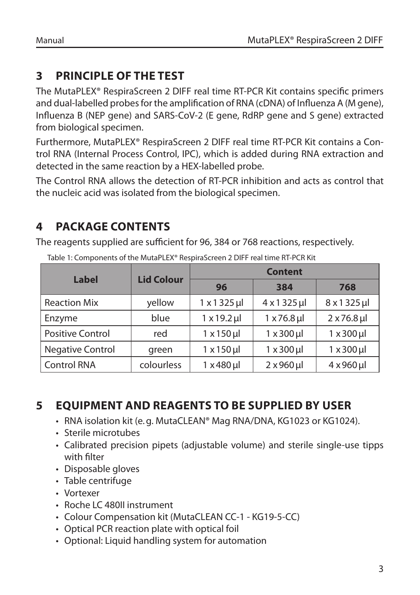# **3 PRINCIPLE OF THE TEST**

The MutaPLEX® RespiraScreen 2 DIFF real time RT-PCR Kit contains specific primers and dual-labelled probes for the amplification of RNA (cDNA) of Influenza A (M gene), Influenza B (NEP gene) and SARS-CoV-2 (E gene, RdRP gene and S gene) extracted from biological specimen.

Furthermore, MutaPLEX® RespiraScreen 2 DIFF real time RT-PCR Kit contains a Control RNA (Internal Process Control, IPC), which is added during RNA extraction and detected in the same reaction by a HEX-labelled probe.

The Control RNA allows the detection of RT-PCR inhibition and acts as control that the nucleic acid was isolated from the biological specimen.

# **4 PACKAGE CONTENTS**

The reagents supplied are sufficient for 96, 384 or 768 reactions, respectively.

| <b>Label</b>            | <b>Lid Colour</b> | <b>Content</b>       |                      |                                 |  |
|-------------------------|-------------------|----------------------|----------------------|---------------------------------|--|
|                         |                   | 96                   | 384                  | 768                             |  |
| <b>Reaction Mix</b>     | yellow            | $1 \times 1325$ µl   | $4 \times 1325$ µl   | $8 \times 1325$ µl              |  |
| Enzyme                  | blue              | $1 \times 19.2$ µl   | $1 \times 76.8$ µ    | $2 \times 76.8$ µl              |  |
| <b>Positive Control</b> | red               | $1 \times 150 \,\mu$ | $1 \times 300 \,\mu$ | $1 \times 300 \,\mu$            |  |
| Negative Control        | green             | $1 \times 150$ µl    | $1 \times 300 \mu$   | $1 \times 300 \,\mathrm{\upmu}$ |  |
| <b>Control RNA</b>      | colourless        | $1 \times 480$ µ     | $2 \times 960$ µl    | $4 \times 960$ µ                |  |

Table 1: Components of the MutaPLEX® RespiraScreen 2 DIFF real time RT-PCR Kit

# **5 EQUIPMENT AND REAGENTS TO BE SUPPLIED BY USER**

- RNA isolation kit (e.g. MutaCLEAN® Mag RNA/DNA, KG1023 or KG1024).
- Sterile microtubes
- Calibrated precision pipets (adjustable volume) and sterile single-use tipps with filter
- Disposable gloves
- Table centrifuge
- Vortexer
- Roche I C 480II instrument
- Colour Compensation kit (MutaCLEAN CC-1 KG19-5-CC)
- Optical PCR reaction plate with optical foil
- Optional: Liquid handling system for automation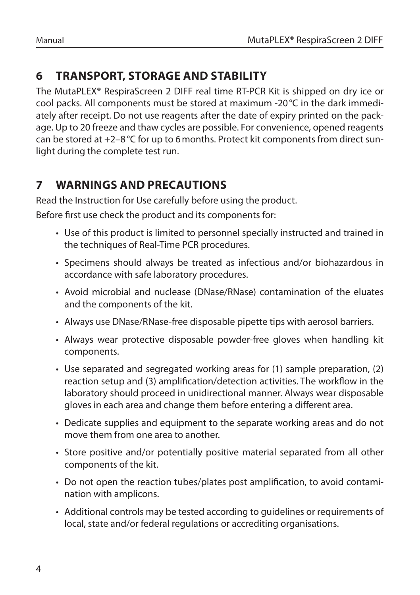# **6 TRANSPORT, STORAGE AND STABILITY**

The MutaPLEX® RespiraScreen 2 DIFF real time RT-PCR Kit is shipped on dry ice or cool packs. All components must be stored at maximum -20°C in the dark immediately after receipt. Do not use reagents after the date of expiry printed on the package. Up to 20 freeze and thaw cycles are possible. For convenience, opened reagents can be stored at  $+2-8$  °C for up to 6 months. Protect kit components from direct sunlight during the complete test run.

# **7 WARNINGS AND PRECAUTIONS**

Read the Instruction for Use carefully before using the product.

Before first use check the product and its components for:

- Use of this product is limited to personnel specially instructed and trained in the techniques of Real-Time PCR procedures.
- Specimens should always be treated as infectious and/or biohazardous in accordance with safe laboratory procedures.
- Avoid microbial and nuclease (DNase/RNase) contamination of the eluates and the components of the kit.
- Always use DNase/RNase-free disposable pipette tips with aerosol barriers.
- Always wear protective disposable powder-free gloves when handling kit components.
- Use separated and segregated working areas for (1) sample preparation, (2) reaction setup and (3) amplification/detection activities. The workflow in the laboratory should proceed in unidirectional manner. Always wear disposable gloves in each area and change them before entering a different area.
- Dedicate supplies and equipment to the separate working areas and do not move them from one area to another.
- Store positive and/or potentially positive material separated from all other components of the kit.
- Do not open the reaction tubes/plates post amplification, to avoid contamination with amplicons.
- Additional controls may be tested according to guidelines or requirements of local, state and/or federal regulations or accrediting organisations.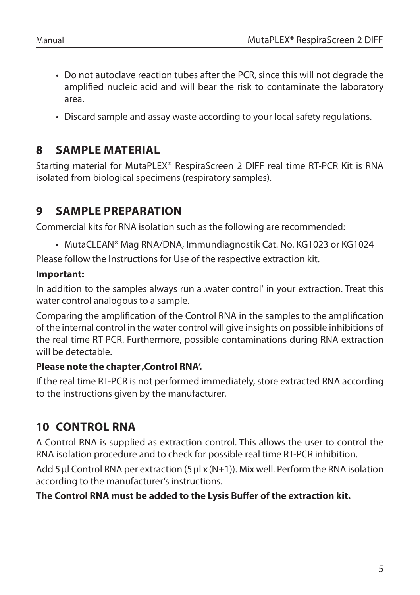- Do not autoclave reaction tubes after the PCR, since this will not degrade the amplified nucleic acid and will bear the risk to contaminate the laboratory area.
- Discard sample and assay waste according to your local safety regulations.

# **8 SAMPLE MATERIAL**

Starting material for MutaPLEX® RespiraScreen 2 DIFF real time RT-PCR Kit is RNA isolated from biological specimens (respiratory samples).

# **9 SAMPLE PREPARATION**

Commercial kits for RNA isolation such as the following are recommended:

• MutaCLEAN® Mag RNA/DNA, Immundiagnostik Cat. No. KG1023 or KG1024

Please follow the Instructions for Use of the respective extraction kit.

#### **Important:**

In addition to the samples always run a water control' in your extraction. Treat this water control analogous to a sample.

Comparing the amplification of the Control RNA in the samples to the amplification of the internal control in the water control will give insights on possible inhibitions of the real time RT-PCR. Furthermore, possible contaminations during RNA extraction will be detectable.

#### **Please note the chapter, Control RNA'.**

If the real time RT-PCR is not performed immediately, store extracted RNA according to the instructions given by the manufacturer.

# **10 CONTROL RNA**

A Control RNA is supplied as extraction control. This allows the user to control the RNA isolation procedure and to check for possible real time RT-PCR inhibition.

Add 5 μl Control RNA per extraction (5 μl x (N+1)). Mix well. Perform the RNA isolation according to the manufacturer's instructions.

#### **The Control RNA must be added to the Lysis Buffer of the extraction kit.**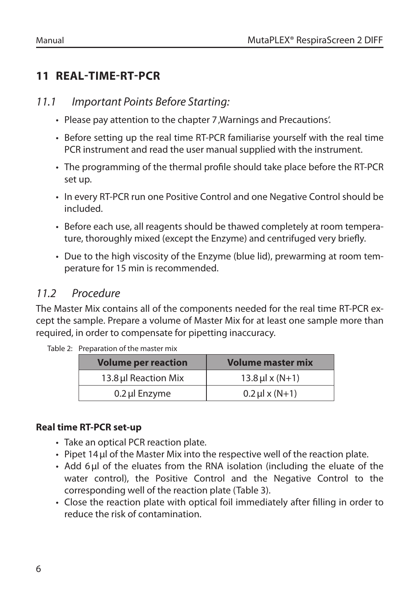# **11 REAL-TIME-RT-PCR**

#### *11.1 Important Points Before Starting:*

- Please pay attention to the chapter 7, Warnings and Precautions'.
- Before setting up the real time RT-PCR familiarise yourself with the real time PCR instrument and read the user manual supplied with the instrument.
- The programming of the thermal profile should take place before the RT-PCR set up.
- In every RT-PCR run one Positive Control and one Negative Control should be included.
- Before each use, all reagents should be thawed completely at room temperature, thoroughly mixed (except the Enzyme) and centrifuged very briefly.
- Due to the high viscosity of the Enzyme (blue lid), prewarming at room temperature for 15 min is recommended.

# *11.2 Procedure*

The Master Mix contains all of the components needed for the real time RT-PCR except the sample. Prepare a volume of Master Mix for at least one sample more than required, in order to compensate for pipetting inaccuracy.

| <b>Volume per reaction</b> | <b>Volume master mix</b> |
|----------------------------|--------------------------|
| 13.8 µl Reaction Mix       | $13.8 \,\mu$ l x (N+1)   |
| 0.2 µl Enzyme              | $0.2 \mu x (N+1)$        |

Table 2: Preparation of the master mix

#### **Real time RT-PCR set-up**

- Take an optical PCR reaction plate.
- Pipet 14μl of the Master Mix into the respective well of the reaction plate.
- Add 6μl of the eluates from the RNA isolation (including the eluate of the water control), the Positive Control and the Negative Control to the corresponding well of the reaction plate (Table 3).
- Close the reaction plate with optical foil immediately after filling in order to reduce the risk of contamination.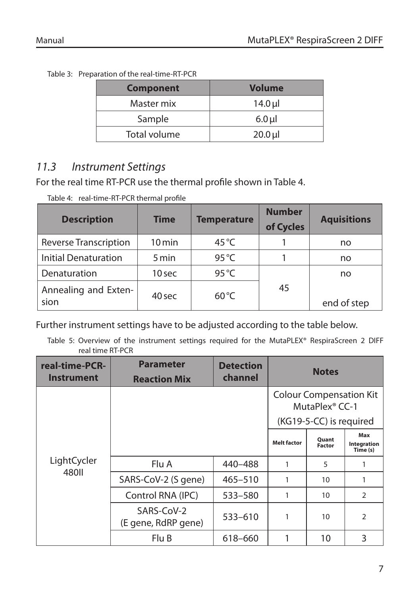| Table 3: Preparation of the real-time-RT-PCR |  |
|----------------------------------------------|--|
|                                              |  |

| <b>Component</b> | <b>Volume</b>           |
|------------------|-------------------------|
| Master mix       | $14.0 \,\mathrm{\upmu}$ |
| Sample           | $6.0$ µ                 |
| Total volume     | $20.0$ µ                |

# *11.3 Instrument Settings*

For the real time RT-PCR use the thermal profile shown in Table 4.

Table 4: real-time-RT-PCR thermal profile

| <b>Description</b>           | <b>Time</b>         | <b>Temperature</b> | <b>Number</b><br>of Cycles | <b>Aquisitions</b> |
|------------------------------|---------------------|--------------------|----------------------------|--------------------|
| Reverse Transcription        | $10 \,\mathrm{min}$ | 45 $\degree$ C     |                            | no                 |
| <b>Initial Denaturation</b>  | 5 min               | $95^{\circ}$ C     |                            | no                 |
| Denaturation                 | 10 sec              | 95 $\degree$ C     |                            | no                 |
| Annealing and Exten-<br>sion | 40 sec              | $60^{\circ}$ C     | 45                         | end of step        |

Further instrument settings have to be adjusted according to the table below.

Table 5: Overview of the instrument settings required for the MutaPLEX® RespiraScreen 2 DIFF real time RT-PCR

| <b>Parameter</b><br>real-time-PCR-<br><b>Detection</b><br>channel<br><b>Instrument</b><br><b>Reaction Mix</b> |                                   |             | <b>Notes</b>       |                                                                                         |                                |
|---------------------------------------------------------------------------------------------------------------|-----------------------------------|-------------|--------------------|-----------------------------------------------------------------------------------------|--------------------------------|
|                                                                                                               |                                   |             |                    | <b>Colour Compensation Kit</b><br>MutaPlex <sup>®</sup> CC-1<br>(KG19-5-CC) is required |                                |
|                                                                                                               |                                   |             | <b>Melt factor</b> | <b>Quant</b><br><b>Factor</b>                                                           | Max<br>Integration<br>Time (s) |
| LightCycler                                                                                                   | Flu A                             | 440-488     | 1                  | 5                                                                                       | 1                              |
| 480II                                                                                                         | SARS-CoV-2 (S gene)               | $465 - 510$ | 1                  | 10                                                                                      | 1                              |
|                                                                                                               | Control RNA (IPC)                 | 533-580     | 1                  | 10                                                                                      | $\mathcal{P}$                  |
|                                                                                                               | SARS-CoV-2<br>(E gene, RdRP gene) | 533-610     | 1                  | 10                                                                                      | $\mathfrak{D}$                 |
|                                                                                                               | Flu B                             | 618-660     |                    | 10                                                                                      | 3                              |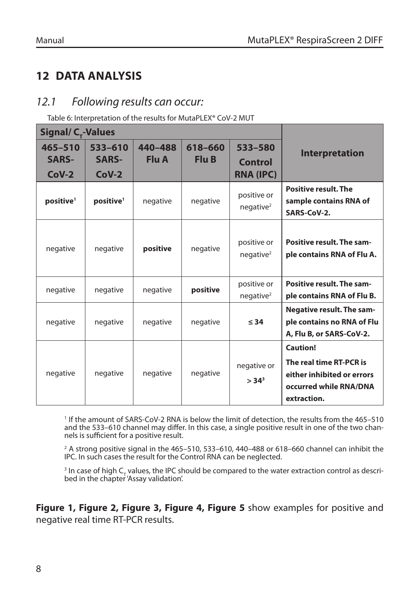# **12 DATA ANALYSIS**

# *12.1 Following results can occur:*

Table 6: Interpretation of the results for MutaPLEX® CoV-2 MUT

| Signal/ C <sub>r</sub> -Values         |                                    |                  |                  |                                        |                                                                                                                   |
|----------------------------------------|------------------------------------|------------------|------------------|----------------------------------------|-------------------------------------------------------------------------------------------------------------------|
| $465 - 510$<br><b>SARS-</b><br>$CoV-2$ | 533-610<br><b>SARS-</b><br>$CoV-2$ | 440-488<br>Flu A | 618-660<br>Flu B | 533-580<br>Control<br><b>RNA (IPC)</b> | <b>Interpretation</b>                                                                                             |
| positive <sup>1</sup>                  | positive <sup>1</sup>              | negative         | negative         | positive or<br>neqative <sup>2</sup>   | <b>Positive result. The</b><br>sample contains RNA of<br>SARS-CoV-2.                                              |
| negative                               | negative                           | positive         | negative         | positive or<br>neqative <sup>2</sup>   | Positive result. The sam-<br>ple contains RNA of Flu A.                                                           |
| negative                               | negative                           | negative         | positive         | positive or<br>neqative <sup>2</sup>   | Positive result. The sam-<br>ple contains RNA of Flu B.                                                           |
| negative                               | negative                           | negative         | negative         | $\leq$ 34                              | <b>Negative result. The sam-</b><br>ple contains no RNA of Flu<br>A, Flu B, or SARS-CoV-2.                        |
| negative                               | negative                           | negative         | negative         | negative or<br>> 34 <sup>3</sup>       | <b>Caution!</b><br>The real time RT-PCR is<br>either inhibited or errors<br>occurred while RNA/DNA<br>extraction. |

1 If the amount of SARS-CoV-2 RNA is below the limit of detection, the results from the 465–510 and the 533–610 channel may differ. In this case, a single positive result in one of the two channels is sufficient for a positive result.

 $^{\rm 2}$  A strong positive signal in the 465–510, 533–610, 440–488 or 618–660 channel can inhibit the IPC. In such cases the result for the Control RNA can be neglected.

<sup>3</sup> In case of high  $C_{\tau}$  values, the IPC should be compared to the water extraction control as described in the chapter 'Assay validation'.

**Figure 1, Figure 2, Figure 3, Figure 4, Figure 5** show examples for positive and negative real time RT-PCR results.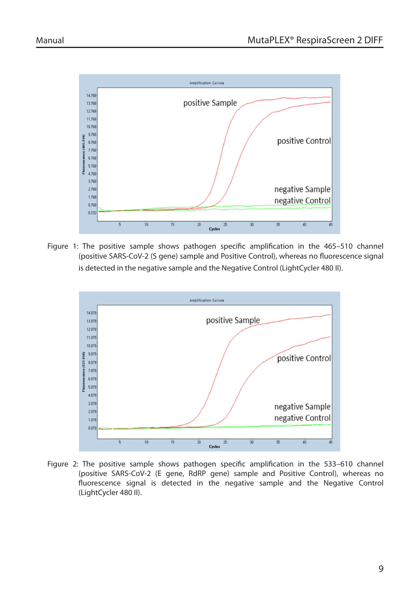

Figure 1: The positive sample shows pathogen specific amplification in the 465–510 channel (positive SARS-CoV-2 (S gene) sample and Positive Control), whereas no fluorescence signal is detected in the negative sample and the Negative Control (LightCycler 480 II).



Figure 2: The positive sample shows pathogen specific amplification in the 533–610 channel (positive SARS-CoV-2 (E gene, RdRP gene) sample and Positive Control), whereas no fluorescence signal is detected in the negative sample and the Negative Control (LightCycler 480 II).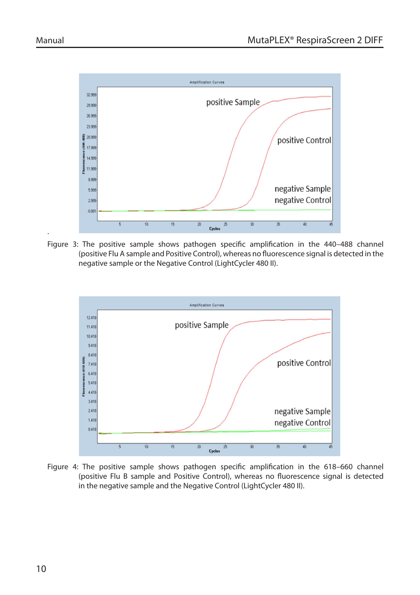.



Figure 3: The positive sample shows pathogen specific amplification in the 440–488 channel (positive Flu A sample and Positive Control), whereas no fluorescence signal is detected in the negative sample or the Negative Control (LightCycler 480 II).



Figure 4: The positive sample shows pathogen specific amplification in the 618–660 channel (positive Flu B sample and Positive Control), whereas no fluorescence signal is detected in the negative sample and the Negative Control (LightCycler 480 II).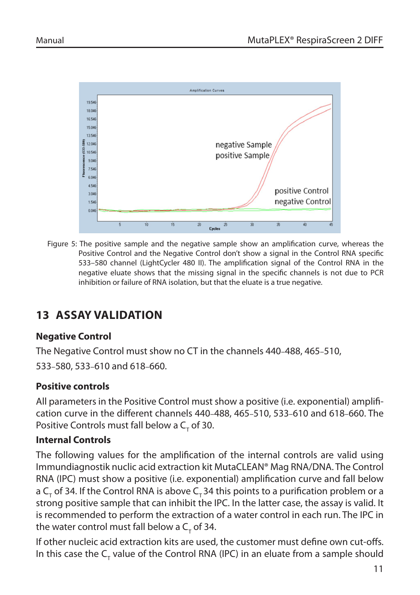

Figure 5: The positive sample and the negative sample show an amplification curve, whereas the Positive Control and the Negative Control don't show a signal in the Control RNA specific 533–580 channel (LightCycler 480 II). The amplification signal of the Control RNA in the negative eluate shows that the missing signal in the specific channels is not due to PCR inhibition or failure of RNA isolation, but that the eluate is a true negative.

# **13 ASSAY VALIDATION**

#### **Negative Control**

The Negative Control must show no CT in the channels 440–488, 465–510, 533–580, 533–610 and 618–660.

#### **Positive controls**

All parameters in the Positive Control must show a positive (i.e. exponential) amplification curve in the different channels 440–488, 465–510, 533–610 and 618–660. The Positive Controls must fall below a  $C_{\tau}$  of 30.

#### **Internal Controls**

The following values for the amplification of the internal controls are valid using Immundiagnostik nuclic acid extraction kit MutaCLEAN® Mag RNA/DNA. The Control RNA (IPC) must show a positive (i.e. exponential) amplification curve and fall below a C<sub>T</sub> of 34. If the Control RNA is above C<sub>T</sub> 34 this points to a purification problem or a strong positive sample that can inhibit the IPC. In the latter case, the assay is valid. It is recommended to perform the extraction of a water control in each run. The IPC in the water control must fall below a  $\mathsf{C}_\mathsf{\tau}$  of 34.

If other nucleic acid extraction kits are used, the customer must define own cut-offs. In this case the  $C_{\tau}$  value of the Control RNA (IPC) in an eluate from a sample should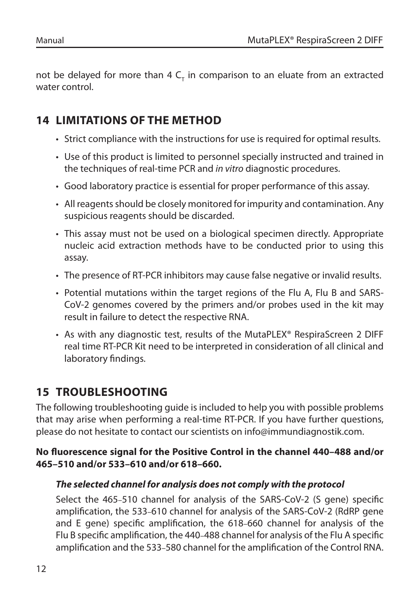not be delayed for more than 4  $\mathsf{C}_{_{\mathsf{T}}}$  in comparison to an eluate from an extracted water control.

# **14 LIMITATIONS OF THE METHOD**

- Strict compliance with the instructions for use is required for optimal results.
- Use of this product is limited to personnel specially instructed and trained in the techniques of real-time PCR and *in vitro* diagnostic procedures.
- Good laboratory practice is essential for proper performance of this assay.
- All reagents should be closely monitored for impurity and contamination. Any suspicious reagents should be discarded.
- This assay must not be used on a biological specimen directly. Appropriate nucleic acid extraction methods have to be conducted prior to using this assay.
- The presence of RT-PCR inhibitors may cause false negative or invalid results.
- Potential mutations within the target regions of the Flu A, Flu B and SARS-CoV-2 genomes covered by the primers and/or probes used in the kit may result in failure to detect the respective RNA.
- As with any diagnostic test, results of the MutaPLEX® RespiraScreen 2 DIFF real time RT-PCR Kit need to be interpreted in consideration of all clinical and laboratory findings.

# **15 TROUBLESHOOTING**

The following troubleshooting guide is included to help you with possible problems that may arise when performing a real-time RT-PCR. If you have further questions, please do not hesitate to contact our scientists on info@immundiagnostik.com.

## **No fluorescence signal for the Positive Control in the channel 440–488 and/or 465–510 and/or 533–610 and/or 618–660.**

#### *The selected channel for analysis does not comply with the protocol*

Select the 465–510 channel for analysis of the SARS-CoV-2 (S gene) specific amplification, the 533–610 channel for analysis of the SARS-CoV-2 (RdRP gene and E gene) specific amplification, the 618–660 channel for analysis of the Flu B specific amplification, the 440–488 channel for analysis of the Flu A specific amplification and the 533–580 channel for the amplification of the Control RNA.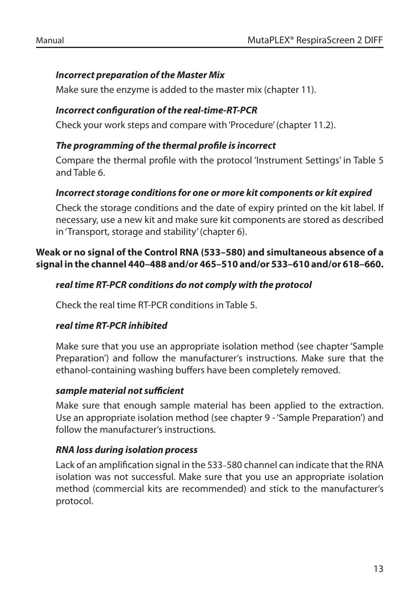#### *Incorrect preparation of the Master Mix*

Make sure the enzyme is added to the master mix (chapter 11).

#### *Incorrect configuration of the real-time-RT-PCR*

Check your work steps and compare with 'Procedure' (chapter 11.2).

#### *The programming of the thermal profile is incorrect*

Compare the thermal profile with the protocol 'Instrument Settings' in Table 5 and Table 6.

## *Incorrect storage conditions for one or more kit components or kit expired*

Check the storage conditions and the date of expiry printed on the kit label. If necessary, use a new kit and make sure kit components are stored as described in 'Transport, storage and stability' (chapter 6).

#### **Weak or no signal of the Control RNA (533–580) and simultaneous absence of a signal in the channel 440–488 and/or 465–510 and/or 533–610 and/or 618–660.**

#### *real time RT-PCR conditions do not comply with the protocol*

Check the real time RT-PCR conditions in Table 5.

#### *real time RT-PCR inhibited*

Make sure that you use an appropriate isolation method (see chapter 'Sample Preparation') and follow the manufacturer's instructions. Make sure that the ethanol-containing washing buffers have been completely removed.

#### *sample material not sufficient*

Make sure that enough sample material has been applied to the extraction. Use an appropriate isolation method (see chapter 9 - 'Sample Preparation') and follow the manufacturer's instructions.

#### *RNA loss during isolation process*

Lack of an amplification signal in the 533–580 channel can indicate that the RNA isolation was not successful. Make sure that you use an appropriate isolation method (commercial kits are recommended) and stick to the manufacturer's protocol.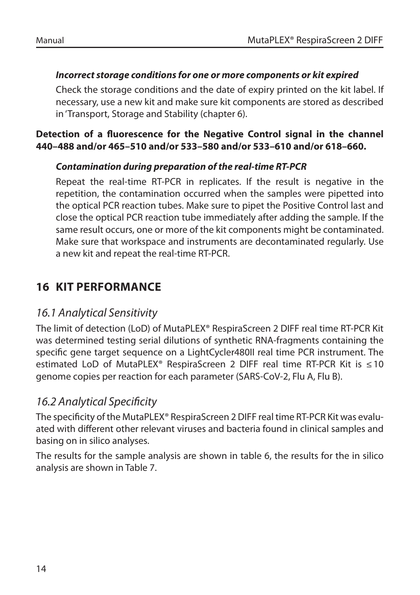#### *Incorrect storage conditions for one or more components or kit expired*

Check the storage conditions and the date of expiry printed on the kit label. If necessary, use a new kit and make sure kit components are stored as described in 'Transport, Storage and Stability (chapter 6).

#### **Detection of a fluorescence for the Negative Control signal in the channel 440–488 and/or 465–510 and/or 533–580 and/or 533–610 and/or 618–660.**

#### *Contamination during preparation of the real-time RT-PCR*

Repeat the real-time RT-PCR in replicates. If the result is negative in the repetition, the contamination occurred when the samples were pipetted into the optical PCR reaction tubes. Make sure to pipet the Positive Control last and close the optical PCR reaction tube immediately after adding the sample. If the same result occurs, one or more of the kit components might be contaminated. Make sure that workspace and instruments are decontaminated regularly. Use a new kit and repeat the real-time RT-PCR.

# **16 KIT PERFORMANCE**

# *16.1 Analytical Sensitivity*

The limit of detection (LoD) of MutaPLEX® RespiraScreen 2 DIFF real time RT-PCR Kit was determined testing serial dilutions of synthetic RNA-fragments containing the specific gene target sequence on a LightCycler480II real time PCR instrument. The estimated LoD of MutaPLEX® RespiraScreen 2 DIFF real time RT-PCR Kit is ≤10 genome copies per reaction for each parameter (SARS-CoV-2, Flu A, Flu B).

# *16.2 Analytical Specificity*

The specificity of the MutaPLEX® RespiraScreen 2 DIFF real time RT-PCR Kit was evaluated with different other relevant viruses and bacteria found in clinical samples and basing on in silico analyses.

The results for the sample analysis are shown in table 6, the results for the in silico analysis are shown in Table 7.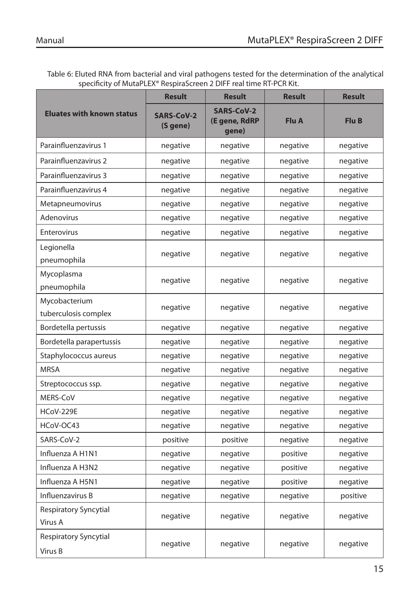Table 6: Eluted RNA from bacterial and viral pathogens tested for the determination of the analytical specificity of MutaPLEX® RespiraScreen 2 DIFF real time RT-PCR Kit.

|                                       | <b>Result</b>                 | <b>Result</b>                               | <b>Result</b> | <b>Result</b> |
|---------------------------------------|-------------------------------|---------------------------------------------|---------------|---------------|
| <b>Eluates with known status</b>      | <b>SARS-CoV-2</b><br>(S gene) | <b>SARS-CoV-2</b><br>(E gene, RdRP<br>gene) | Flu A         | Flu B         |
| Parainfluenzavirus 1                  | negative                      | negative                                    | negative      | negative      |
| Parainfluenzavirus 2                  | negative                      | negative                                    | negative      | negative      |
| Parainfluenzavirus 3                  | negative                      | negative                                    | negative      | negative      |
| Parainfluenzavirus 4                  | negative                      | negative                                    | negative      | negative      |
| Metapneumovirus                       | negative                      | negative                                    | negative      | negative      |
| Adenovirus                            | negative                      | negative                                    | negative      | negative      |
| Enterovirus                           | negative                      | negative                                    | negative      | negative      |
| Legionella<br>pneumophila             | negative                      | negative                                    | negative      | negative      |
| Mycoplasma<br>pneumophila             | negative                      | negative                                    | negative      | negative      |
| Mycobacterium<br>tuberculosis complex | negative                      | negative                                    | negative      | negative      |
| Bordetella pertussis                  | negative                      | negative                                    | negative      | negative      |
| Bordetella parapertussis              | negative                      | negative                                    | negative      | negative      |
| Staphylococcus aureus                 | negative                      | negative                                    | negative      | negative      |
| <b>MRSA</b>                           | negative                      | negative                                    | negative      | negative      |
| Streptococcus ssp.                    | negative                      | negative                                    | negative      | negative      |
| MERS-CoV                              | negative                      | negative                                    | negative      | negative      |
| <b>HCoV-229E</b>                      | negative                      | negative                                    | negative      | negative      |
| HCoV-OC43                             | negative                      | negative                                    | negative      | negative      |
| SARS-CoV-2                            | positive                      | positive                                    | negative      | negative      |
| Influenza A H1N1                      | negative                      | negative                                    | positive      | negative      |
| Influenza A H3N2                      | negative                      | negative                                    | positive      | negative      |
| Influenza A H5N1                      | negative                      | negative                                    | positive      | negative      |
| Influenzavirus B                      | negative                      | negative                                    | negative      | positive      |
| Respiratory Syncytial<br>Virus A      | negative                      | negative                                    | negative      | negative      |
| Respiratory Syncytial<br>Virus B      | negative                      | negative                                    | negative      | negative      |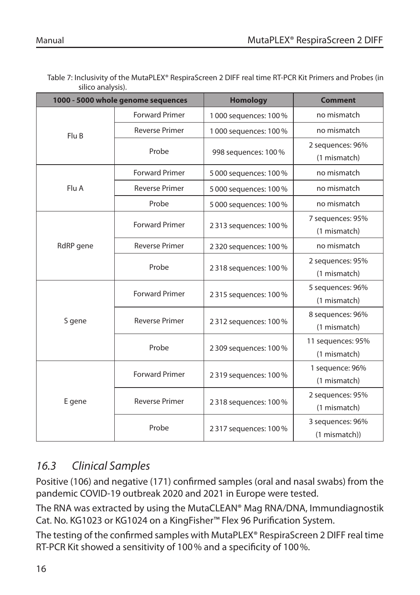| 1000 - 5000 whole genome sequences |                       | <b>Homology</b>        | <b>Comment</b>    |
|------------------------------------|-----------------------|------------------------|-------------------|
|                                    | <b>Forward Primer</b> | 1 000 sequences: 100 % | no mismatch       |
| Flu B                              | <b>Reverse Primer</b> | 1 000 sequences: 100 % | no mismatch       |
|                                    |                       |                        | 2 sequences: 96%  |
|                                    | Probe                 | 998 sequences: 100 %   | (1 mismatch)      |
|                                    | <b>Forward Primer</b> | 5 000 sequences: 100 % | no mismatch       |
| Flu A                              | <b>Reverse Primer</b> | 5 000 sequences: 100 % | no mismatch       |
|                                    | Probe                 | 5 000 sequences: 100 % | no mismatch       |
|                                    | <b>Forward Primer</b> |                        | 7 sequences: 95%  |
|                                    |                       | 2313 sequences: 100%   | (1 mismatch)      |
| RdRP gene                          | <b>Reverse Primer</b> | 2 320 sequences: 100 % | no mismatch       |
|                                    | Probe                 | 2318 sequences: 100%   | 2 sequences: 95%  |
|                                    |                       |                        | (1 mismatch)      |
|                                    | <b>Forward Primer</b> | 2315 sequences: 100%   | 5 sequences: 96%  |
|                                    |                       |                        | (1 mismatch)      |
| S gene                             | <b>Reverse Primer</b> | 2312 sequences: 100%   | 8 sequences: 96%  |
|                                    |                       |                        | (1 mismatch)      |
|                                    | Probe                 |                        | 11 sequences: 95% |
|                                    |                       | 2 309 sequences: 100 % | (1 mismatch)      |
|                                    | <b>Forward Primer</b> | 2319 sequences: 100%   | 1 sequence: 96%   |
|                                    |                       |                        | (1 mismatch)      |
| E gene                             | <b>Reverse Primer</b> |                        | 2 sequences: 95%  |
|                                    |                       | 2318 sequences: 100%   | (1 mismatch)      |
|                                    | Probe                 |                        | 3 sequences: 96%  |
|                                    |                       | 2317 sequences: 100%   | (1 mismatch))     |

Table 7: Inclusivity of the MutaPLEX® RespiraScreen 2 DIFF real time RT-PCR Kit Primers and Probes (in silico analysis).

# *16.3 Clinical Samples*

Positive (106) and negative (171) confirmed samples (oral and nasal swabs) from the pandemic COVID-19 outbreak 2020 and 2021 in Europe were tested.

The RNA was extracted by using the MutaCLEAN® Mag RNA/DNA, Immundiagnostik Cat. No. KG1023 or KG1024 on a KingFisher™ Flex 96 Purification System.

The testing of the confirmed samples with MutaPLEX® RespiraScreen 2 DIFF real time RT-PCR Kit showed a sensitivity of 100% and a specificity of 100%.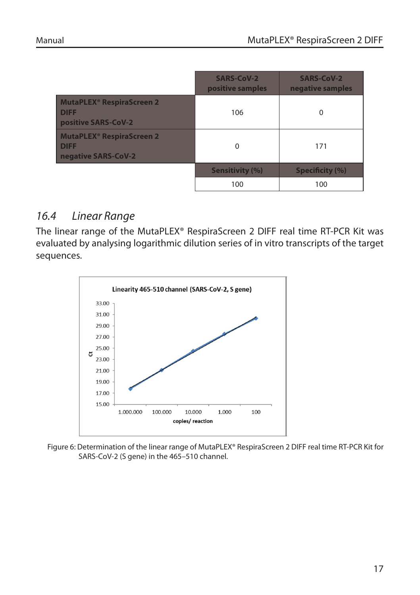|                                                                                   | <b>SARS-CoV-2</b><br>positive samples | <b>SARS-CoV-2</b><br>negative samples |
|-----------------------------------------------------------------------------------|---------------------------------------|---------------------------------------|
| <b>MutaPLEX<sup>®</sup> RespiraScreen 2</b><br><b>DIFF</b><br>positive SARS-CoV-2 | 106                                   | 0                                     |
| <b>MutaPLEX<sup>®</sup> RespiraScreen 2</b><br><b>DIFF</b><br>negative SARS-CoV-2 | $\Omega$                              | 171                                   |
|                                                                                   | <b>Sensitivity (%)</b>                | <b>Specificity (%)</b>                |
|                                                                                   | 100                                   | 100                                   |

## *16.4 Linear Range*

The linear range of the MutaPLEX® RespiraScreen 2 DIFF real time RT-PCR Kit was evaluated by analysing logarithmic dilution series of in vitro transcripts of the target sequences.



Figure 6: Determination of the linear range of MutaPLEX® RespiraScreen 2 DIFF real time RT-PCR Kit for SARS-CoV-2 (S gene) in the 465–510 channel.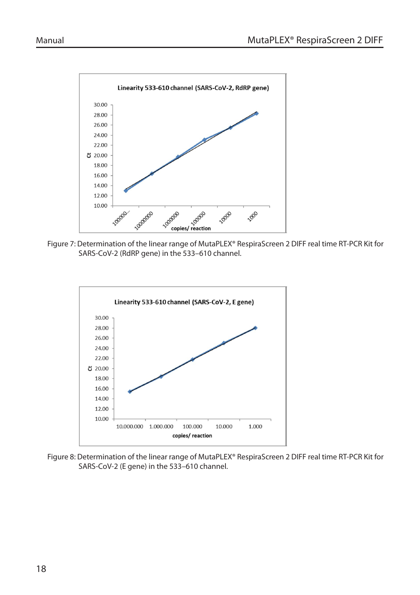

Figure 7: Determination of the linear range of MutaPLEX® RespiraScreen 2 DIFF real time RT-PCR Kit for SARS-CoV-2 (RdRP gene) in the 533–610 channel.



Figure 8: Determination of the linear range of MutaPLEX® RespiraScreen 2 DIFF real time RT-PCR Kit for SARS-CoV-2 (E gene) in the 533–610 channel.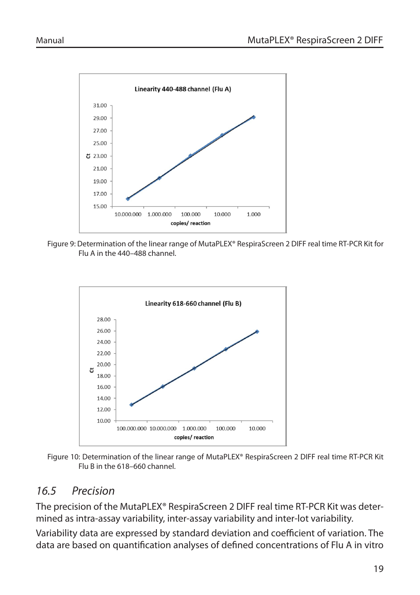

Figure 9: Determination of the linear range of MutaPLEX® RespiraScreen 2 DIFF real time RT-PCR Kit for Flu A in the 440–488 channel.



Figure 10: Determination of the linear range of MutaPLEX® RespiraScreen 2 DIFF real time RT-PCR Kit Flu B in the 618–660 channel.

# *16.5 Precision*

The precision of the MutaPLEX® RespiraScreen 2 DIFF real time RT-PCR Kit was determined as intra-assay variability, inter-assay variability and inter-lot variability.

Variability data are expressed by standard deviation and coefficient of variation. The data are based on quantification analyses of defined concentrations of Flu A in vitro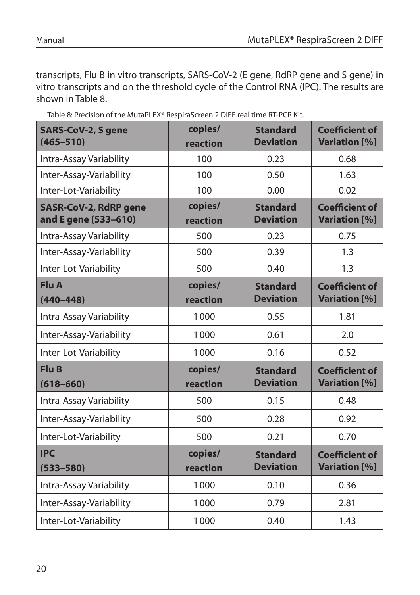transcripts, Flu B in vitro transcripts, SARS-CoV-2 (E gene, RdRP gene and S gene) in vitro transcripts and on the threshold cycle of the Control RNA (IPC). The results are shown in Table 8.

| SARS-CoV-2, S gene<br>$(465 - 510)$                  | copies/<br>reaction | <b>Standard</b><br><b>Deviation</b> | <b>Coefficient of</b><br><b>Variation</b> [%] |
|------------------------------------------------------|---------------------|-------------------------------------|-----------------------------------------------|
| Intra-Assay Variability                              | 100                 | 0.23                                | 0.68                                          |
| Inter-Assay-Variability                              | 100                 | 0.50                                | 1.63                                          |
| Inter-Lot-Variability                                | 100                 | 0.00                                | 0.02                                          |
| <b>SASR-CoV-2, RdRP gene</b><br>and E gene (533-610) | copies/<br>reaction | <b>Standard</b><br><b>Deviation</b> | <b>Coefficient of</b><br><b>Variation</b> [%] |
| Intra-Assay Variability                              | 500                 | 0.23                                | 0.75                                          |
| Inter-Assay-Variability                              | 500                 | 0.39                                | 1.3                                           |
| Inter-Lot-Variability                                | 500                 | 0.40                                | 1.3                                           |
| <b>Flu A</b><br>$(440 - 448)$                        | copies/<br>reaction | <b>Standard</b><br><b>Deviation</b> | <b>Coefficient of</b><br><b>Variation</b> [%] |
| Intra-Assay Variability                              | 1000                | 0.55                                | 1.81                                          |
| Inter-Assay-Variability                              | 1000                | 0.61                                | 2.0                                           |
| Inter-Lot-Variability                                | 1000                | 0.16                                | 0.52                                          |
| <b>Flu B</b><br>$(618 - 660)$                        | copies/<br>reaction | <b>Standard</b><br><b>Deviation</b> | <b>Coefficient of</b><br><b>Variation</b> [%] |
| Intra-Assay Variability                              | 500                 | 0.15                                | 0.48                                          |
| Inter-Assay-Variability                              | 500                 | 0.28                                | 0.92                                          |
| Inter-Lot-Variability                                | 500                 | 0.21                                | 0.70                                          |
| <b>IPC</b><br>$(533 - 580)$                          | copies/<br>reaction | <b>Standard</b><br><b>Deviation</b> | <b>Coefficient of</b><br><b>Variation</b> [%] |
| Intra-Assay Variability                              | 1000                | 0.10                                | 0.36                                          |
| Inter-Assay-Variability                              | 1000                | 0.79                                | 2.81                                          |
| Inter-Lot-Variability                                | 1000                | 0.40                                | 1.43                                          |

Table 8: Precision of the MutaPLEX® RespiraScreen 2 DIFF real time RT-PCR Kit.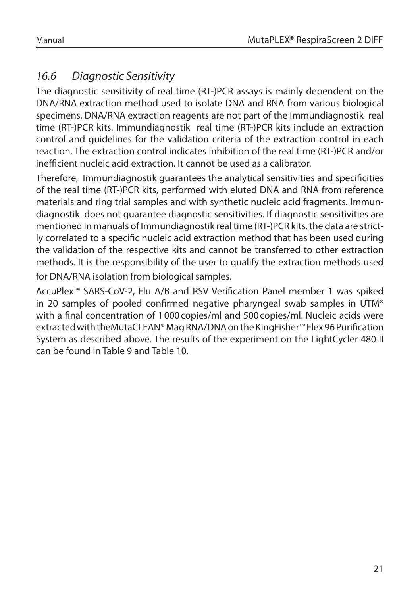# *16.6 Diagnostic Sensitivity*

The diagnostic sensitivity of real time (RT-)PCR assays is mainly dependent on the DNA/RNA extraction method used to isolate DNA and RNA from various biological specimens. DNA/RNA extraction reagents are not part of the Immundiagnostik real time (RT-)PCR kits. Immundiagnostik real time (RT-)PCR kits include an extraction control and guidelines for the validation criteria of the extraction control in each reaction. The extraction control indicates inhibition of the real time (RT-)PCR and/or inefficient nucleic acid extraction. It cannot be used as a calibrator.

Therefore, Immundiagnostik guarantees the analytical sensitivities and specificities of the real time (RT-)PCR kits, performed with eluted DNA and RNA from reference materials and ring trial samples and with synthetic nucleic acid fragments. Immundiagnostik does not guarantee diagnostic sensitivities. If diagnostic sensitivities are mentioned in manuals of Immundiagnostik real time (RT-)PCR kits, the data are strictly correlated to a specific nucleic acid extraction method that has been used during the validation of the respective kits and cannot be transferred to other extraction methods. It is the responsibility of the user to qualify the extraction methods used for DNA/RNA isolation from biological samples.

AccuPlex™ SARS-CoV-2, Flu A/B and RSV Verification Panel member 1 was spiked in 20 samples of pooled confirmed negative pharyngeal swab samples in UTM® with a final concentration of 1000copies/ml and 500copies/ml. Nucleic acids were extracted with theMutaCLEAN® Mag RNA/DNA on the KingFisher™ Flex 96 Purification System as described above. The results of the experiment on the LightCycler 480 II can be found in Table 9 and Table 10.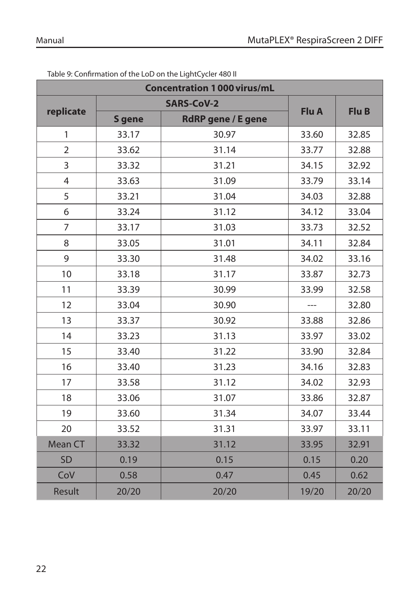| <b>Concentration 1000 virus/mL</b> |                   |                           |       |       |  |  |
|------------------------------------|-------------------|---------------------------|-------|-------|--|--|
| replicate                          | <b>SARS-CoV-2</b> |                           |       |       |  |  |
|                                    | <b>S</b> gene     | <b>RdRP</b> gene / E gene | Flu A | Flu B |  |  |
| 1                                  | 33.17             | 30.97                     | 33.60 | 32.85 |  |  |
| $\overline{2}$                     | 33.62             | 31.14                     | 33.77 | 32.88 |  |  |
| 3                                  | 33.32             | 31.21                     | 34.15 | 32.92 |  |  |
| $\overline{4}$                     | 33.63             | 31.09                     | 33.79 | 33.14 |  |  |
| 5                                  | 33.21             | 31.04                     | 34.03 | 32.88 |  |  |
| 6                                  | 33.24             | 31.12                     | 34.12 | 33.04 |  |  |
| $\overline{7}$                     | 33.17             | 31.03                     | 33.73 | 32.52 |  |  |
| 8                                  | 33.05             | 31.01                     | 34.11 | 32.84 |  |  |
| 9                                  | 33.30             | 31.48                     | 34.02 | 33.16 |  |  |
| 10                                 | 33.18             | 31.17                     | 33.87 | 32.73 |  |  |
| 11                                 | 33.39             | 30.99                     | 33.99 | 32.58 |  |  |
| 12                                 | 33.04             | 30.90                     |       | 32.80 |  |  |
| 13                                 | 33.37             | 30.92                     | 33.88 | 32.86 |  |  |
| 14                                 | 33.23             | 31.13                     | 33.97 | 33.02 |  |  |
| 15                                 | 33.40             | 31.22                     | 33.90 | 32.84 |  |  |
| 16                                 | 33.40             | 31.23                     | 34.16 | 32.83 |  |  |
| 17                                 | 33.58             | 31.12                     | 34.02 | 32.93 |  |  |
| 18                                 | 33.06             | 31.07                     | 33.86 | 32.87 |  |  |
| 19                                 | 33.60             | 31.34                     | 34.07 | 33.44 |  |  |
| 20                                 | 33.52             | 31.31                     | 33.97 | 33.11 |  |  |
| Mean CT                            | 33.32             | 31.12                     | 33.95 | 32.91 |  |  |
| SD                                 | 0.19              | 0.15                      | 0.15  | 0.20  |  |  |
| CoV                                | 0.58              | 0.47                      | 0.45  | 0.62  |  |  |
| Result                             | 20/20             | 20/20                     | 19/20 | 20/20 |  |  |

Table 9: Confirmation of the LoD on the LightCycler 480 II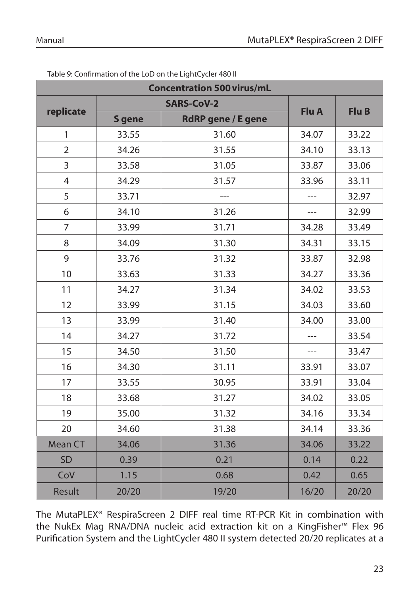| <b>Concentration 500 virus/mL</b> |                   |                           |       |       |  |  |
|-----------------------------------|-------------------|---------------------------|-------|-------|--|--|
| replicate                         | <b>SARS-CoV-2</b> |                           |       |       |  |  |
|                                   | S gene            | <b>RdRP</b> gene / E gene | Flu A | Flu B |  |  |
| 1                                 | 33.55             | 31.60                     | 34.07 | 33.22 |  |  |
| $\overline{2}$                    | 34.26             | 31.55                     | 34.10 | 33.13 |  |  |
| 3                                 | 33.58             | 31.05                     | 33.87 | 33.06 |  |  |
| $\overline{4}$                    | 34.29             | 31.57                     | 33.96 | 33.11 |  |  |
| 5                                 | 33.71             |                           |       | 32.97 |  |  |
| 6                                 | 34.10             | 31.26                     |       | 32.99 |  |  |
| $\overline{7}$                    | 33.99             | 31.71                     | 34.28 | 33.49 |  |  |
| 8                                 | 34.09             | 31.30                     | 34.31 | 33.15 |  |  |
| 9                                 | 33.76             | 31.32                     | 33.87 | 32.98 |  |  |
| 10                                | 33.63             | 31.33                     | 34.27 | 33.36 |  |  |
| 11                                | 34.27             | 31.34                     | 34.02 | 33.53 |  |  |
| 12                                | 33.99             | 31.15                     | 34.03 | 33.60 |  |  |
| 13                                | 33.99             | 31.40                     | 34.00 | 33.00 |  |  |
| 14                                | 34.27             | 31.72                     |       | 33.54 |  |  |
| 15                                | 34.50             | 31.50                     | ---   | 33.47 |  |  |
| 16                                | 34.30             | 31.11                     | 33.91 | 33.07 |  |  |
| 17                                | 33.55             | 30.95                     | 33.91 | 33.04 |  |  |
| 18                                | 33.68             | 31.27                     | 34.02 | 33.05 |  |  |
| 19                                | 35.00             | 31.32                     | 34.16 | 33.34 |  |  |
| 20                                | 34.60             | 31.38                     | 34.14 | 33.36 |  |  |
| Mean CT                           | 34.06             | 31.36                     | 34.06 | 33.22 |  |  |
| SD                                | 0.39              | 0.21                      | 0.14  | 0.22  |  |  |
| CoV                               | 1.15              | 0.68                      | 0.42  | 0.65  |  |  |
| Result                            | 20/20             | 19/20                     | 16/20 | 20/20 |  |  |

Table 9: Confirmation of the LoD on the LightCycler 480 II

The MutaPLEX® RespiraScreen 2 DIFF real time RT-PCR Kit in combination with the NukEx Mag RNA/DNA nucleic acid extraction kit on a KingFisher™ Flex 96 Purification System and the LightCycler 480 II system detected 20/20 replicates at a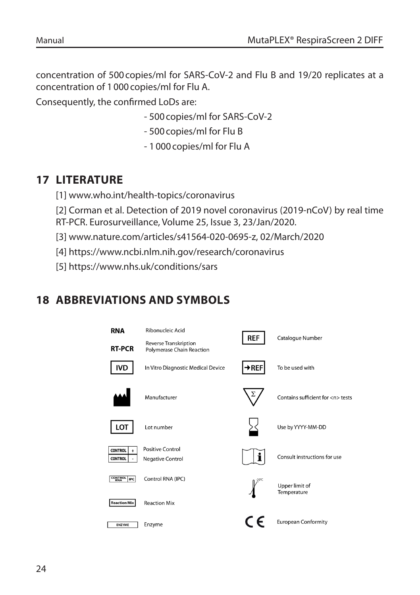concentration of 500copies/ml for SARS-CoV-2 and Flu B and 19/20 replicates at a concentration of 1000copies/ml for Flu A.

Consequently, the confirmed LoDs are:

- 500copies/ml for SARS-CoV-2
- 500copies/ml for Flu B
- 1000copies/ml for Flu A

# **17 LITERATURE**

- [1] www.who.int/health-topics/coronavirus
- [2] Corman et al. Detection of 2019 novel coronavirus (2019-nCoV) by real time
- RT-PCR. Eurosurveillance, Volume 25, Issue 3, 23/Jan/2020.
- [3] www.nature.com/articles/s41564-020-0695-z, 02/March/2020
- [4] https://www.ncbi.nlm.nih.gov/research/coronavirus
- [5] https://www.nhs.uk/conditions/sars

# **18 ABBREVIATIONS AND SYMBOLS**